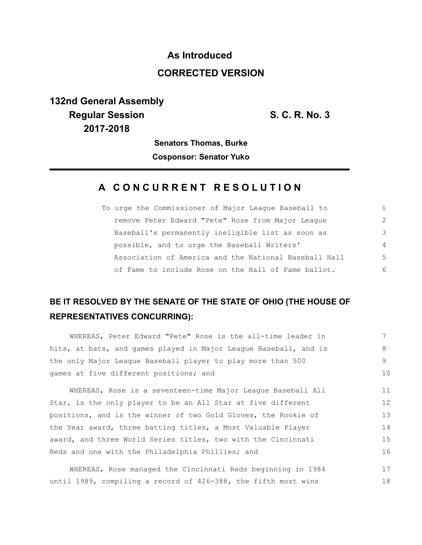# **As Introduced CORRECTED VERSION**

# **132nd General Assembly Regular Session S. C. R. No. 3 2017-2018**

**Senators Thomas, Burke**

**Cosponsor: Senator Yuko**

### **A C O N C U R R E N T R E S O L U T I O N**

| To urge the Commissioner of Major League Baseball to  | 1              |
|-------------------------------------------------------|----------------|
| remove Peter Edward "Pete" Rose from Major League     | 2              |
| Baseball's permanently ineligible list as soon as     | 3              |
| possible, and to urge the Baseball Writers'           | $\overline{4}$ |
| Association of America and the National Baseball Hall | -5             |
| of Fame to include Rose on the Hall of Fame ballot.   | 6              |

## **BE IT RESOLVED BY THE SENATE OF THE STATE OF OHIO (THE HOUSE OF REPRESENTATIVES CONCURRING):**

| WHEREAS, Peter Edward "Pete" Rose is the all-time leader in      |                 |
|------------------------------------------------------------------|-----------------|
| hits, at bats, and games played in Major League Baseball, and is | 8               |
| the only Major League Baseball player to play more than 500      | 9               |
| games at five different positions; and                           |                 |
| WHEREAS, Rose is a seventeen-time Major League Baseball All      | 11              |
| Star, is the only player to be an All Star at five different     | 12 <sup>°</sup> |
| positions, and is the winner of two Gold Gloves, the Rookie of   |                 |
| the Year award, three batting titles, a Most Valuable Player     |                 |
| award, and three World Series titles, two with the Cincinnati    |                 |
| Reds and one with the Philadelphia Phillies; and                 |                 |
|                                                                  |                 |

WHEREAS, Rose managed the Cincinnati Reds beginning in 1984 until 1989, compiling a record of 426-388, the fifth most wins 17 18